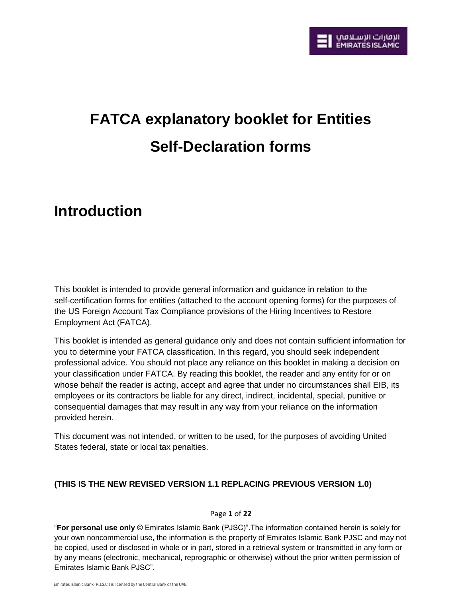

# **FATCA explanatory booklet for Entities Self-Declaration forms**

# **Introduction**

This booklet is intended to provide general information and guidance in relation to the self-certification forms for entities (attached to the account opening forms) for the purposes of the US Foreign Account Tax Compliance provisions of the Hiring Incentives to Restore Employment Act (FATCA).

This booklet is intended as general guidance only and does not contain sufficient information for you to determine your FATCA classification. In this regard, you should seek independent professional advice. You should not place any reliance on this booklet in making a decision on your classification under FATCA. By reading this booklet, the reader and any entity for or on whose behalf the reader is acting, accept and agree that under no circumstances shall EIB, its employees or its contractors be liable for any direct, indirect, incidental, special, punitive or consequential damages that may result in any way from your reliance on the information provided herein.

This document was not intended, or written to be used, for the purposes of avoiding United States federal, state or local tax penalties.

# **(THIS IS THE NEW REVISED VERSION 1.1 REPLACING PREVIOUS VERSION 1.0)**

#### Page **1** of **22**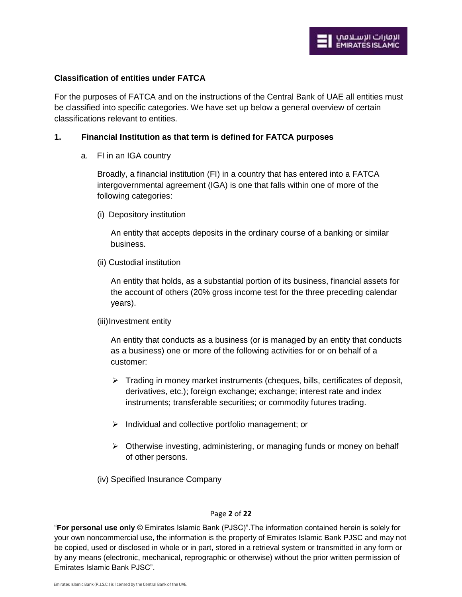#### **Classification of entities under FATCA**

For the purposes of FATCA and on the instructions of the Central Bank of UAE all entities must be classified into specific categories. We have set up below a general overview of certain classifications relevant to entities.

## **1. Financial Institution as that term is defined for FATCA purposes**

a. FI in an IGA country

Broadly, a financial institution (FI) in a country that has entered into a FATCA intergovernmental agreement (IGA) is one that falls within one of more of the following categories:

(i) Depository institution

An entity that accepts deposits in the ordinary course of a banking or similar business.

(ii) Custodial institution

An entity that holds, as a substantial portion of its business, financial assets for the account of others (20% gross income test for the three preceding calendar years).

(iii) Investment entity

An entity that conducts as a business (or is managed by an entity that conducts as a business) one or more of the following activities for or on behalf of a customer:

- $\triangleright$  Trading in money market instruments (cheques, bills, certificates of deposit, derivatives, etc.); foreign exchange; exchange; interest rate and index instruments; transferable securities; or commodity futures trading.
- $\triangleright$  Individual and collective portfolio management; or
- $\triangleright$  Otherwise investing, administering, or managing funds or money on behalf of other persons.
- (iv) Specified Insurance Company

#### Page **2** of **22**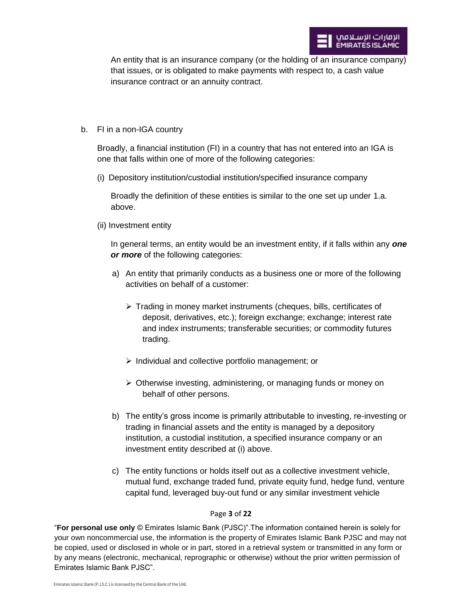An entity that is an insurance company (or the holding of an insurance company) that issues, or is obligated to make payments with respect to, a cash value insurance contract or an annuity contract.

b. FI in a non-IGA country

Broadly, a financial institution (FI) in a country that has not entered into an IGA is one that falls within one of more of the following categories:

(i) Depository institution/custodial institution/specified insurance company

Broadly the definition of these entities is similar to the one set up under 1.a. above.

(ii) Investment entity

In general terms, an entity would be an investment entity, if it falls within any *one or more* of the following categories:

- a) An entity that primarily conducts as a business one or more of the following activities on behalf of a customer:
	- $\triangleright$  Trading in money market instruments (cheques, bills, certificates of deposit, derivatives, etc.); foreign exchange; exchange; interest rate and index instruments; transferable securities; or commodity futures trading.
	- $\triangleright$  Individual and collective portfolio management; or
	- Otherwise investing, administering, or managing funds or money on behalf of other persons.
- b) The entity's gross income is primarily attributable to investing, re-investing or trading in financial assets and the entity is managed by a depository institution, a custodial institution, a specified insurance company or an investment entity described at (i) above.
- c) The entity functions or holds itself out as a collective investment vehicle, mutual fund, exchange traded fund, private equity fund, hedge fund, venture capital fund, leveraged buy-out fund or any similar investment vehicle

# Page **3** of **22**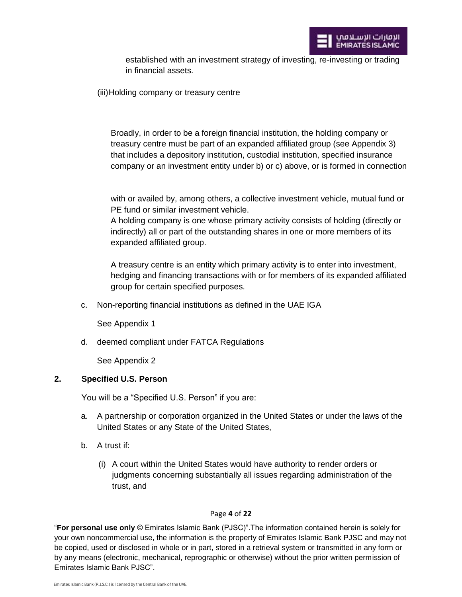

established with an investment strategy of investing, re-investing or trading in financial assets.

(iii) Holding company or treasury centre

Broadly, in order to be a foreign financial institution, the holding company or treasury centre must be part of an expanded affiliated group (see Appendix 3) that includes a depository institution, custodial institution, specified insurance company or an investment entity under b) or c) above, or is formed in connection

with or availed by, among others, a collective investment vehicle, mutual fund or PE fund or similar investment vehicle.

A holding company is one whose primary activity consists of holding (directly or indirectly) all or part of the outstanding shares in one or more members of its expanded affiliated group.

A treasury centre is an entity which primary activity is to enter into investment, hedging and financing transactions with or for members of its expanded affiliated group for certain specified purposes.

c. Non-reporting financial institutions as defined in the UAE IGA

See Appendix 1

d. deemed compliant under FATCA Regulations

See Appendix 2

# **2. Specified U.S. Person**

You will be a "Specified U.S. Person" if you are:

- a. A partnership or corporation organized in the United States or under the laws of the United States or any State of the United States,
- b. A trust if:
	- (i) A court within the United States would have authority to render orders or judgments concerning substantially all issues regarding administration of the trust, and

#### Page **4** of **22**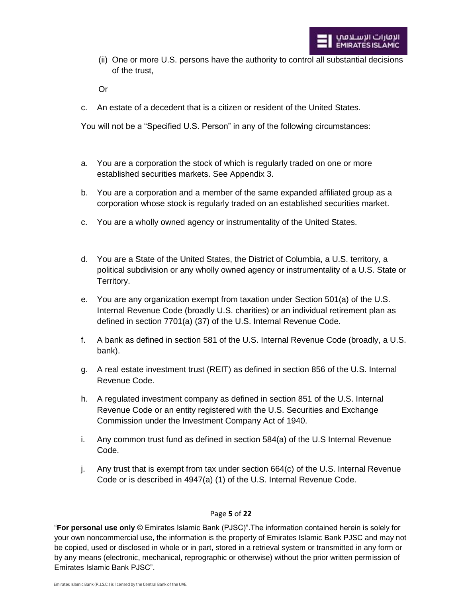(ii) One or more U.S. persons have the authority to control all substantial decisions of the trust,

Or

c. An estate of a decedent that is a citizen or resident of the United States.

You will not be a "Specified U.S. Person" in any of the following circumstances:

- a. You are a corporation the stock of which is regularly traded on one or more established securities markets. See Appendix 3.
- b. You are a corporation and a member of the same expanded affiliated group as a corporation whose stock is regularly traded on an established securities market.
- c. You are a wholly owned agency or instrumentality of the United States.
- d. You are a State of the United States, the District of Columbia, a U.S. territory, a political subdivision or any wholly owned agency or instrumentality of a U.S. State or Territory.
- e. You are any organization exempt from taxation under Section 501(a) of the U.S. Internal Revenue Code (broadly U.S. charities) or an individual retirement plan as defined in section 7701(a) (37) of the U.S. Internal Revenue Code.
- f. A bank as defined in section 581 of the U.S. Internal Revenue Code (broadly, a U.S. bank).
- g. A real estate investment trust (REIT) as defined in section 856 of the U.S. Internal Revenue Code.
- h. A regulated investment company as defined in section 851 of the U.S. Internal Revenue Code or an entity registered with the U.S. Securities and Exchange Commission under the Investment Company Act of 1940.
- i. Any common trust fund as defined in section 584(a) of the U.S Internal Revenue Code.
- j. Any trust that is exempt from tax under section 664(c) of the U.S. Internal Revenue Code or is described in 4947(a) (1) of the U.S. Internal Revenue Code.

# Page **5** of **22**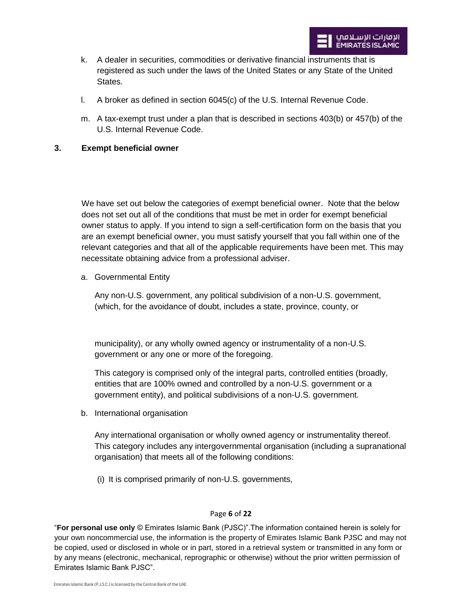- k. A dealer in securities, commodities or derivative financial instruments that is registered as such under the laws of the United States or any State of the United States.
- l. A broker as defined in section 6045(c) of the U.S. Internal Revenue Code.
- m. A tax-exempt trust under a plan that is described in sections 403(b) or 457(b) of the U.S. Internal Revenue Code.

# **3. Exempt beneficial owner**

We have set out below the categories of exempt beneficial owner. Note that the below does not set out all of the conditions that must be met in order for exempt beneficial owner status to apply. If you intend to sign a self-certification form on the basis that you are an exempt beneficial owner, you must satisfy yourself that you fall within one of the relevant categories and that all of the applicable requirements have been met. This may necessitate obtaining advice from a professional adviser.

a. Governmental Entity

Any non-U.S. government, any political subdivision of a non-U.S. government, (which, for the avoidance of doubt, includes a state, province, county, or

municipality), or any wholly owned agency or instrumentality of a non-U.S. government or any one or more of the foregoing.

This category is comprised only of the integral parts, controlled entities (broadly, entities that are 100% owned and controlled by a non-U.S. government or a government entity), and political subdivisions of a non-U.S. government.

b. International organisation

Any international organisation or wholly owned agency or instrumentality thereof. This category includes any intergovernmental organisation (including a supranational organisation) that meets all of the following conditions:

(i) It is comprised primarily of non-U.S. governments,

#### Page **6** of **22**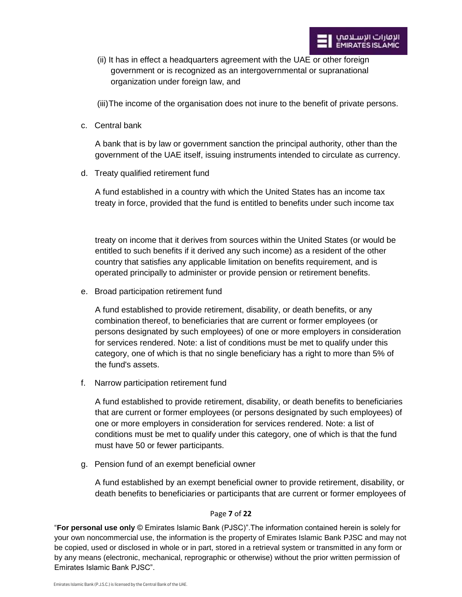(ii) It has in effect a headquarters agreement with the UAE or other foreign government or is recognized as an intergovernmental or supranational organization under foreign law, and

(iii) The income of the organisation does not inure to the benefit of private persons.

c. Central bank

A bank that is by law or government sanction the principal authority, other than the government of the UAE itself, issuing instruments intended to circulate as currency.

d. Treaty qualified retirement fund

A fund established in a country with which the United States has an income tax treaty in force, provided that the fund is entitled to benefits under such income tax

treaty on income that it derives from sources within the United States (or would be entitled to such benefits if it derived any such income) as a resident of the other country that satisfies any applicable limitation on benefits requirement, and is operated principally to administer or provide pension or retirement benefits.

e. Broad participation retirement fund

A fund established to provide retirement, disability, or death benefits, or any combination thereof, to beneficiaries that are current or former employees (or persons designated by such employees) of one or more employers in consideration for services rendered. Note: a list of conditions must be met to qualify under this category, one of which is that no single beneficiary has a right to more than 5% of the fund's assets.

f. Narrow participation retirement fund

A fund established to provide retirement, disability, or death benefits to beneficiaries that are current or former employees (or persons designated by such employees) of one or more employers in consideration for services rendered. Note: a list of conditions must be met to qualify under this category, one of which is that the fund must have 50 or fewer participants.

g. Pension fund of an exempt beneficial owner

A fund established by an exempt beneficial owner to provide retirement, disability, or death benefits to beneficiaries or participants that are current or former employees of

#### Page **7** of **22**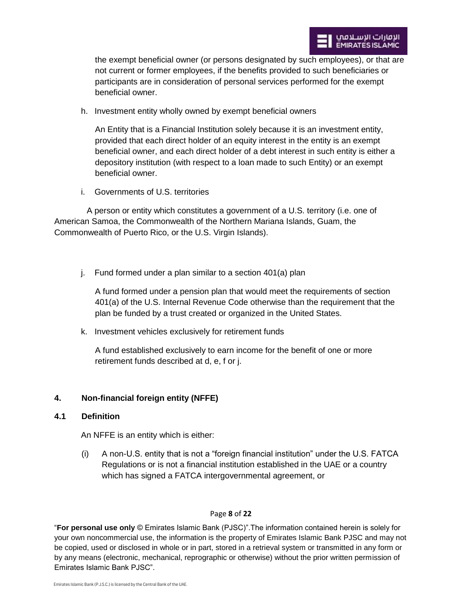the exempt beneficial owner (or persons designated by such employees), or that are not current or former employees, if the benefits provided to such beneficiaries or participants are in consideration of personal services performed for the exempt beneficial owner.

h. Investment entity wholly owned by exempt beneficial owners

An Entity that is a Financial Institution solely because it is an investment entity, provided that each direct holder of an equity interest in the entity is an exempt beneficial owner, and each direct holder of a debt interest in such entity is either a depository institution (with respect to a loan made to such Entity) or an exempt beneficial owner.

i. Governments of U.S. territories

 A person or entity which constitutes a government of a U.S. territory (i.e. one of American Samoa, the Commonwealth of the Northern Mariana Islands, Guam, the Commonwealth of Puerto Rico, or the U.S. Virgin Islands).

j. Fund formed under a plan similar to a section 401(a) plan

A fund formed under a pension plan that would meet the requirements of section 401(a) of the U.S. Internal Revenue Code otherwise than the requirement that the plan be funded by a trust created or organized in the United States.

k. Investment vehicles exclusively for retirement funds

A fund established exclusively to earn income for the benefit of one or more retirement funds described at d, e, f or j.

# **4. Non-financial foreign entity (NFFE)**

# **4.1 Definition**

An NFFE is an entity which is either:

(i) A non-U.S. entity that is not a "foreign financial institution" under the U.S. FATCA Regulations or is not a financial institution established in the UAE or a country which has signed a FATCA intergovernmental agreement, or

# Page **8** of **22**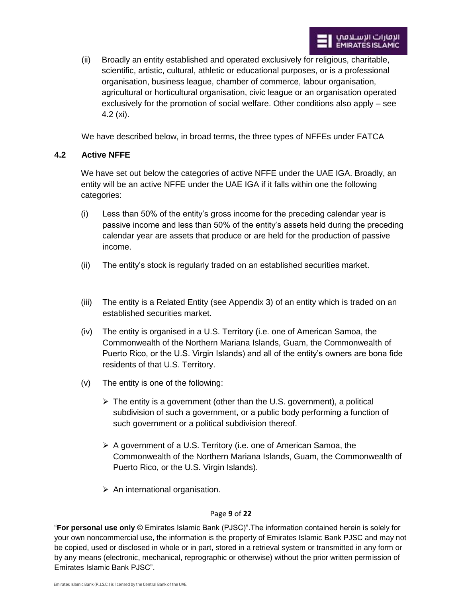(ii) Broadly an entity established and operated exclusively for religious, charitable, scientific, artistic, cultural, athletic or educational purposes, or is a professional organisation, business league, chamber of commerce, labour organisation, agricultural or horticultural organisation, civic league or an organisation operated exclusively for the promotion of social welfare. Other conditions also apply – see 4.2 (xi).

We have described below, in broad terms, the three types of NFFEs under FATCA

# **4.2 Active NFFE**

We have set out below the categories of active NFFE under the UAE IGA. Broadly, an entity will be an active NFFE under the UAE IGA if it falls within one the following categories:

- (i) Less than 50% of the entity's gross income for the preceding calendar year is passive income and less than 50% of the entity's assets held during the preceding calendar year are assets that produce or are held for the production of passive income.
- (ii) The entity's stock is regularly traded on an established securities market.
- (iii) The entity is a Related Entity (see Appendix 3) of an entity which is traded on an established securities market.
- (iv) The entity is organised in a U.S. Territory (i.e. one of American Samoa, the Commonwealth of the Northern Mariana Islands, Guam, the Commonwealth of Puerto Rico, or the U.S. Virgin Islands) and all of the entity's owners are bona fide residents of that U.S. Territory.
- (v) The entity is one of the following:
	- $\triangleright$  The entity is a government (other than the U.S. government), a political subdivision of such a government, or a public body performing a function of such government or a political subdivision thereof.
	- $\triangleright$  A government of a U.S. Territory (i.e. one of American Samoa, the Commonwealth of the Northern Mariana Islands, Guam, the Commonwealth of Puerto Rico, or the U.S. Virgin Islands).
	- $\triangleright$  An international organisation.

# Page **9** of **22**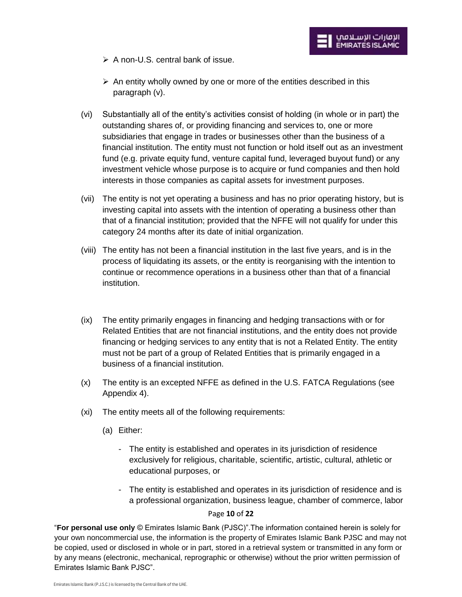- $\triangleright$  A non-U.S. central bank of issue.
- $\triangleright$  An entity wholly owned by one or more of the entities described in this paragraph (v).
- (vi) Substantially all of the entity's activities consist of holding (in whole or in part) the outstanding shares of, or providing financing and services to, one or more subsidiaries that engage in trades or businesses other than the business of a financial institution. The entity must not function or hold itself out as an investment fund (e.g. private equity fund, venture capital fund, leveraged buyout fund) or any investment vehicle whose purpose is to acquire or fund companies and then hold interests in those companies as capital assets for investment purposes.
- (vii) The entity is not yet operating a business and has no prior operating history, but is investing capital into assets with the intention of operating a business other than that of a financial institution; provided that the NFFE will not qualify for under this category 24 months after its date of initial organization.
- (viii) The entity has not been a financial institution in the last five years, and is in the process of liquidating its assets, or the entity is reorganising with the intention to continue or recommence operations in a business other than that of a financial institution.
- (ix) The entity primarily engages in financing and hedging transactions with or for Related Entities that are not financial institutions, and the entity does not provide financing or hedging services to any entity that is not a Related Entity. The entity must not be part of a group of Related Entities that is primarily engaged in a business of a financial institution.
- (x) The entity is an excepted NFFE as defined in the U.S. FATCA Regulations (see Appendix 4).
- (xi) The entity meets all of the following requirements:
	- (a) Either:
		- The entity is established and operates in its jurisdiction of residence exclusively for religious, charitable, scientific, artistic, cultural, athletic or educational purposes, or
		- The entity is established and operates in its jurisdiction of residence and is a professional organization, business league, chamber of commerce, labor

# Page **10** of **22**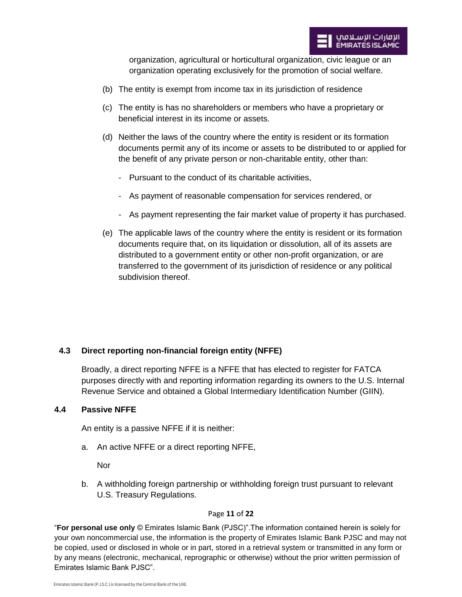organization, agricultural or horticultural organization, civic league or an organization operating exclusively for the promotion of social welfare.

- (b) The entity is exempt from income tax in its jurisdiction of residence
- (c) The entity is has no shareholders or members who have a proprietary or beneficial interest in its income or assets.
- (d) Neither the laws of the country where the entity is resident or its formation documents permit any of its income or assets to be distributed to or applied for the benefit of any private person or non-charitable entity, other than:
	- Pursuant to the conduct of its charitable activities,
	- As payment of reasonable compensation for services rendered, or
	- As payment representing the fair market value of property it has purchased.
- (e) The applicable laws of the country where the entity is resident or its formation documents require that, on its liquidation or dissolution, all of its assets are distributed to a government entity or other non-profit organization, or are transferred to the government of its jurisdiction of residence or any political subdivision thereof.

# **4.3 Direct reporting non-financial foreign entity (NFFE)**

Broadly, a direct reporting NFFE is a NFFE that has elected to register for FATCA purposes directly with and reporting information regarding its owners to the U.S. Internal Revenue Service and obtained a Global Intermediary Identification Number (GIIN).

#### **4.4 Passive NFFE**

An entity is a passive NFFE if it is neither:

a. An active NFFE or a direct reporting NFFE,

**Nor** 

b. A withholding foreign partnership or withholding foreign trust pursuant to relevant U.S. Treasury Regulations.

#### Page **11** of **22**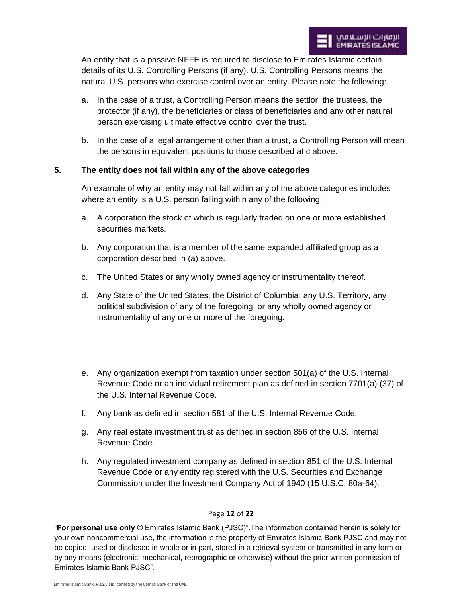An entity that is a passive NFFE is required to disclose to Emirates Islamic certain details of its U.S. Controlling Persons (if any). U.S. Controlling Persons means the natural U.S. persons who exercise control over an entity. Please note the following:

- a. In the case of a trust, a Controlling Person means the settlor, the trustees, the protector (if any), the beneficiaries or class of beneficiaries and any other natural person exercising ultimate effective control over the trust.
- b. In the case of a legal arrangement other than a trust, a Controlling Person will mean the persons in equivalent positions to those described at c above.

# **5. The entity does not fall within any of the above categories**

An example of why an entity may not fall within any of the above categories includes where an entity is a U.S. person falling within any of the following:

- a. A corporation the stock of which is regularly traded on one or more established securities markets.
- b. Any corporation that is a member of the same expanded affiliated group as a corporation described in (a) above.
- c. The United States or any wholly owned agency or instrumentality thereof.
- d. Any State of the United States, the District of Columbia, any U.S. Territory, any political subdivision of any of the foregoing, or any wholly owned agency or instrumentality of any one or more of the foregoing.
- e. Any organization exempt from taxation under section 501(a) of the U.S. Internal Revenue Code or an individual retirement plan as defined in section 7701(a) (37) of the U.S. Internal Revenue Code.
- f. Any bank as defined in section 581 of the U.S. Internal Revenue Code.
- g. Any real estate investment trust as defined in section 856 of the U.S. Internal Revenue Code.
- h. Any regulated investment company as defined in section 851 of the U.S. Internal Revenue Code or any entity registered with the U.S. Securities and Exchange Commission under the Investment Company Act of 1940 (15 U.S.C. 80a-64).

#### Page **12** of **22**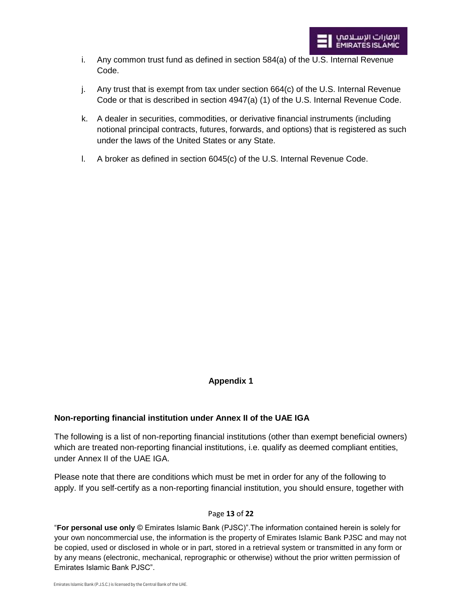- i. Any common trust fund as defined in section 584(a) of the U.S. Internal Revenue Code.
- j. Any trust that is exempt from tax under section 664(c) of the U.S. Internal Revenue Code or that is described in section 4947(a) (1) of the U.S. Internal Revenue Code.
- k. A dealer in securities, commodities, or derivative financial instruments (including notional principal contracts, futures, forwards, and options) that is registered as such under the laws of the United States or any State.
- l. A broker as defined in section 6045(c) of the U.S. Internal Revenue Code.

# **Appendix 1**

# **Non-reporting financial institution under Annex II of the UAE IGA**

The following is a list of non-reporting financial institutions (other than exempt beneficial owners) which are treated non-reporting financial institutions, i.e. qualify as deemed compliant entities, under Annex II of the UAE IGA.

Please note that there are conditions which must be met in order for any of the following to apply. If you self-certify as a non-reporting financial institution, you should ensure, together with

# Page **13** of **22**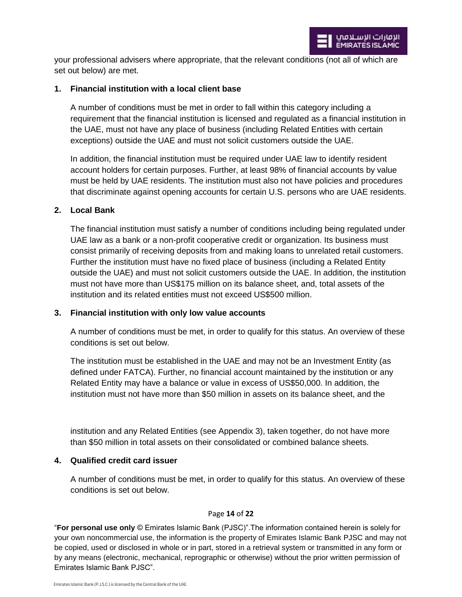your professional advisers where appropriate, that the relevant conditions (not all of which are set out below) are met.

## **1. Financial institution with a local client base**

A number of conditions must be met in order to fall within this category including a requirement that the financial institution is licensed and regulated as a financial institution in the UAE, must not have any place of business (including Related Entities with certain exceptions) outside the UAE and must not solicit customers outside the UAE.

In addition, the financial institution must be required under UAE law to identify resident account holders for certain purposes. Further, at least 98% of financial accounts by value must be held by UAE residents. The institution must also not have policies and procedures that discriminate against opening accounts for certain U.S. persons who are UAE residents.

#### **2. Local Bank**

The financial institution must satisfy a number of conditions including being regulated under UAE law as a bank or a non-profit cooperative credit or organization. Its business must consist primarily of receiving deposits from and making loans to unrelated retail customers. Further the institution must have no fixed place of business (including a Related Entity outside the UAE) and must not solicit customers outside the UAE. In addition, the institution must not have more than US\$175 million on its balance sheet, and, total assets of the institution and its related entities must not exceed US\$500 million.

# **3. Financial institution with only low value accounts**

A number of conditions must be met, in order to qualify for this status. An overview of these conditions is set out below.

The institution must be established in the UAE and may not be an Investment Entity (as defined under FATCA). Further, no financial account maintained by the institution or any Related Entity may have a balance or value in excess of US\$50,000. In addition, the institution must not have more than \$50 million in assets on its balance sheet, and the

institution and any Related Entities (see Appendix 3), taken together, do not have more than \$50 million in total assets on their consolidated or combined balance sheets.

#### **4. Qualified credit card issuer**

A number of conditions must be met, in order to qualify for this status. An overview of these conditions is set out below.

#### Page **14** of **22**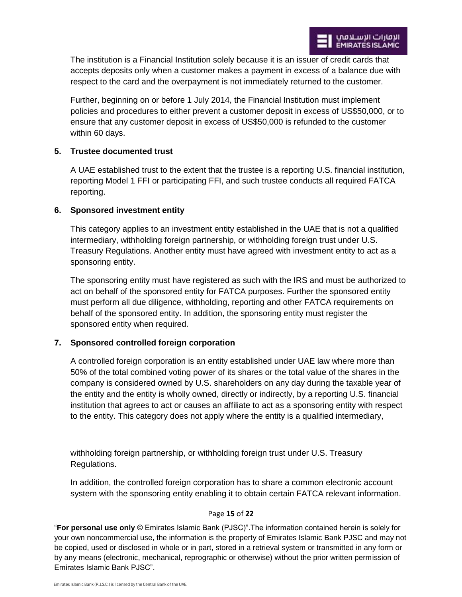The institution is a Financial Institution solely because it is an issuer of credit cards that accepts deposits only when a customer makes a payment in excess of a balance due with respect to the card and the overpayment is not immediately returned to the customer.

Further, beginning on or before 1 July 2014, the Financial Institution must implement policies and procedures to either prevent a customer deposit in excess of US\$50,000, or to ensure that any customer deposit in excess of US\$50,000 is refunded to the customer within 60 days.

# **5. Trustee documented trust**

A UAE established trust to the extent that the trustee is a reporting U.S. financial institution, reporting Model 1 FFI or participating FFI, and such trustee conducts all required FATCA reporting.

# **6. Sponsored investment entity**

This category applies to an investment entity established in the UAE that is not a qualified intermediary, withholding foreign partnership, or withholding foreign trust under U.S. Treasury Regulations. Another entity must have agreed with investment entity to act as a sponsoring entity.

The sponsoring entity must have registered as such with the IRS and must be authorized to act on behalf of the sponsored entity for FATCA purposes. Further the sponsored entity must perform all due diligence, withholding, reporting and other FATCA requirements on behalf of the sponsored entity. In addition, the sponsoring entity must register the sponsored entity when required.

# **7. Sponsored controlled foreign corporation**

A controlled foreign corporation is an entity established under UAE law where more than 50% of the total combined voting power of its shares or the total value of the shares in the company is considered owned by U.S. shareholders on any day during the taxable year of the entity and the entity is wholly owned, directly or indirectly, by a reporting U.S. financial institution that agrees to act or causes an affiliate to act as a sponsoring entity with respect to the entity. This category does not apply where the entity is a qualified intermediary,

withholding foreign partnership, or withholding foreign trust under U.S. Treasury Regulations.

In addition, the controlled foreign corporation has to share a common electronic account system with the sponsoring entity enabling it to obtain certain FATCA relevant information.

#### Page **15** of **22**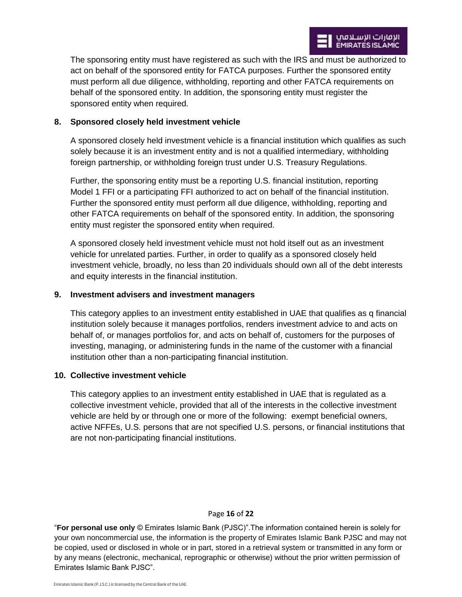The sponsoring entity must have registered as such with the IRS and must be authorized to act on behalf of the sponsored entity for FATCA purposes. Further the sponsored entity must perform all due diligence, withholding, reporting and other FATCA requirements on behalf of the sponsored entity. In addition, the sponsoring entity must register the sponsored entity when required.

# **8. Sponsored closely held investment vehicle**

A sponsored closely held investment vehicle is a financial institution which qualifies as such solely because it is an investment entity and is not a qualified intermediary, withholding foreign partnership, or withholding foreign trust under U.S. Treasury Regulations.

Further, the sponsoring entity must be a reporting U.S. financial institution, reporting Model 1 FFI or a participating FFI authorized to act on behalf of the financial institution. Further the sponsored entity must perform all due diligence, withholding, reporting and other FATCA requirements on behalf of the sponsored entity. In addition, the sponsoring entity must register the sponsored entity when required.

A sponsored closely held investment vehicle must not hold itself out as an investment vehicle for unrelated parties. Further, in order to qualify as a sponsored closely held investment vehicle, broadly, no less than 20 individuals should own all of the debt interests and equity interests in the financial institution.

#### **9. Investment advisers and investment managers**

This category applies to an investment entity established in UAE that qualifies as q financial institution solely because it manages portfolios, renders investment advice to and acts on behalf of, or manages portfolios for, and acts on behalf of, customers for the purposes of investing, managing, or administering funds in the name of the customer with a financial institution other than a non-participating financial institution.

#### **10. Collective investment vehicle**

This category applies to an investment entity established in UAE that is regulated as a collective investment vehicle, provided that all of the interests in the collective investment vehicle are held by or through one or more of the following: exempt beneficial owners, active NFFEs, U.S. persons that are not specified U.S. persons, or financial institutions that are not non-participating financial institutions.

#### Page **16** of **22**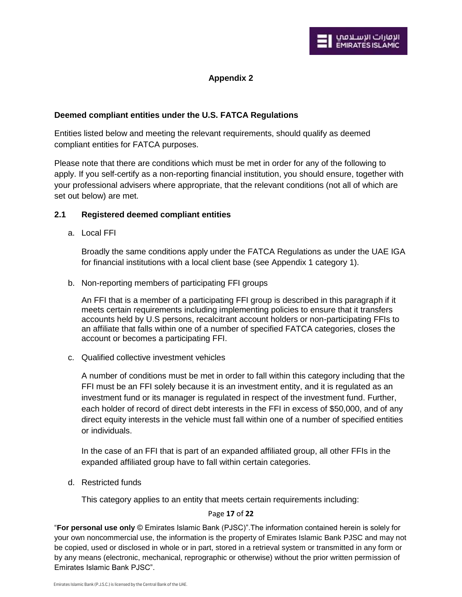# **Appendix 2**

# **Deemed compliant entities under the U.S. FATCA Regulations**

Entities listed below and meeting the relevant requirements, should qualify as deemed compliant entities for FATCA purposes.

Please note that there are conditions which must be met in order for any of the following to apply. If you self-certify as a non-reporting financial institution, you should ensure, together with your professional advisers where appropriate, that the relevant conditions (not all of which are set out below) are met.

#### **2.1 Registered deemed compliant entities**

a. Local FFI

Broadly the same conditions apply under the FATCA Regulations as under the UAE IGA for financial institutions with a local client base (see Appendix 1 category 1).

b. Non-reporting members of participating FFI groups

An FFI that is a member of a participating FFI group is described in this paragraph if it meets certain requirements including implementing policies to ensure that it transfers accounts held by U.S persons, recalcitrant account holders or non-participating FFIs to an affiliate that falls within one of a number of specified FATCA categories, closes the account or becomes a participating FFI.

c. Qualified collective investment vehicles

A number of conditions must be met in order to fall within this category including that the FFI must be an FFI solely because it is an investment entity, and it is regulated as an investment fund or its manager is regulated in respect of the investment fund. Further, each holder of record of direct debt interests in the FFI in excess of \$50,000, and of any direct equity interests in the vehicle must fall within one of a number of specified entities or individuals.

In the case of an FFI that is part of an expanded affiliated group, all other FFIs in the expanded affiliated group have to fall within certain categories.

d. Restricted funds

This category applies to an entity that meets certain requirements including:

# Page **17** of **22**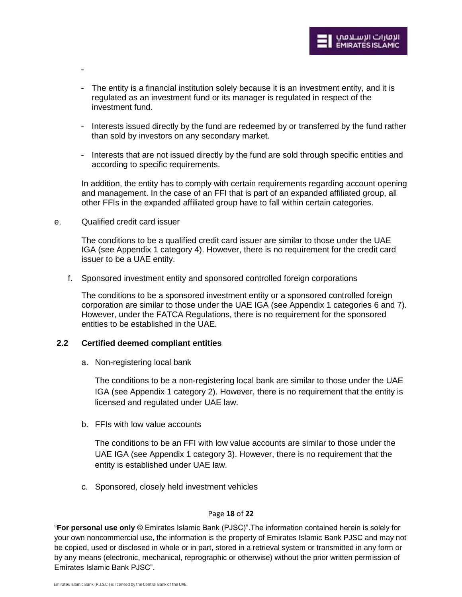

- The entity is a financial institution solely because it is an investment entity, and it is regulated as an investment fund or its manager is regulated in respect of the investment fund.
- Interests issued directly by the fund are redeemed by or transferred by the fund rather than sold by investors on any secondary market.
- Interests that are not issued directly by the fund are sold through specific entities and according to specific requirements.

In addition, the entity has to comply with certain requirements regarding account opening and management. In the case of an FFI that is part of an expanded affiliated group, all other FFIs in the expanded affiliated group have to fall within certain categories.

e. Qualified credit card issuer

-

The conditions to be a qualified credit card issuer are similar to those under the UAE IGA (see Appendix 1 category 4). However, there is no requirement for the credit card issuer to be a UAE entity.

f. Sponsored investment entity and sponsored controlled foreign corporations

The conditions to be a sponsored investment entity or a sponsored controlled foreign corporation are similar to those under the UAE IGA (see Appendix 1 categories 6 and 7). However, under the FATCA Regulations, there is no requirement for the sponsored entities to be established in the UAE.

#### **2.2 Certified deemed compliant entities**

a. Non-registering local bank

The conditions to be a non-registering local bank are similar to those under the UAE IGA (see Appendix 1 category 2). However, there is no requirement that the entity is licensed and regulated under UAE law.

b. FFIs with low value accounts

The conditions to be an FFI with low value accounts are similar to those under the UAE IGA (see Appendix 1 category 3). However, there is no requirement that the entity is established under UAE law.

c. Sponsored, closely held investment vehicles

#### Page **18** of **22**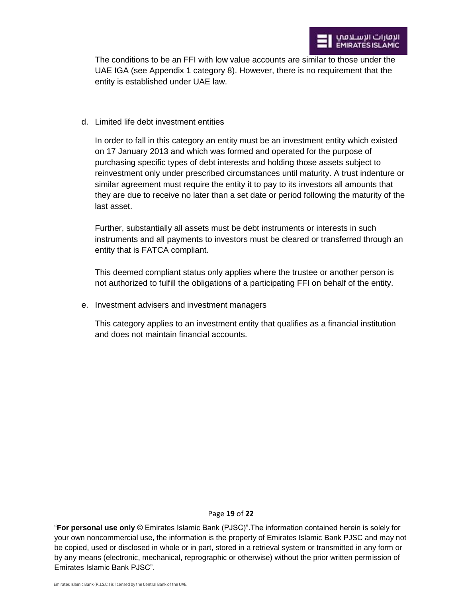The conditions to be an FFI with low value accounts are similar to those under the UAE IGA (see Appendix 1 category 8). However, there is no requirement that the entity is established under UAE law.

d. Limited life debt investment entities

In order to fall in this category an entity must be an investment entity which existed on 17 January 2013 and which was formed and operated for the purpose of purchasing specific types of debt interests and holding those assets subject to reinvestment only under prescribed circumstances until maturity. A trust indenture or similar agreement must require the entity it to pay to its investors all amounts that they are due to receive no later than a set date or period following the maturity of the last asset.

Further, substantially all assets must be debt instruments or interests in such instruments and all payments to investors must be cleared or transferred through an entity that is FATCA compliant.

This deemed compliant status only applies where the trustee or another person is not authorized to fulfill the obligations of a participating FFI on behalf of the entity.

e. Investment advisers and investment managers

This category applies to an investment entity that qualifies as a financial institution and does not maintain financial accounts.

#### Page **19** of **22**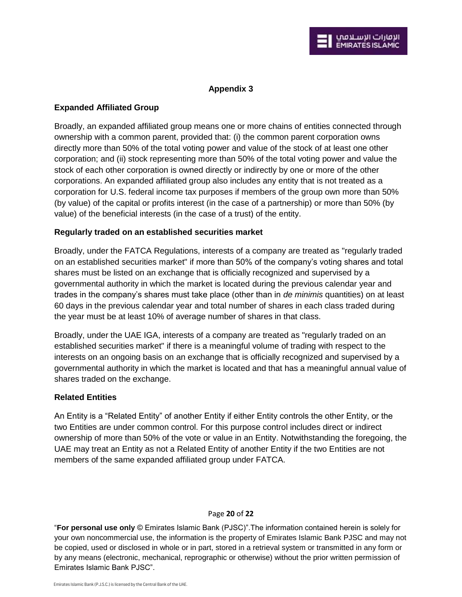# **Appendix 3**

# **Expanded Affiliated Group**

Broadly, an expanded affiliated group means one or more chains of entities connected through ownership with a common parent, provided that: (i) the common parent corporation owns directly more than 50% of the total voting power and value of the stock of at least one other corporation; and (ii) stock representing more than 50% of the total voting power and value the stock of each other corporation is owned directly or indirectly by one or more of the other corporations. An expanded affiliated group also includes any entity that is not treated as a corporation for U.S. federal income tax purposes if members of the group own more than 50% (by value) of the capital or profits interest (in the case of a partnership) or more than 50% (by value) of the beneficial interests (in the case of a trust) of the entity.

# **Regularly traded on an established securities market**

Broadly, under the FATCA Regulations, interests of a company are treated as "regularly traded on an established securities market" if more than 50% of the company's voting shares and total shares must be listed on an exchange that is officially recognized and supervised by a governmental authority in which the market is located during the previous calendar year and trades in the company's shares must take place (other than in *de minimis* quantities) on at least 60 days in the previous calendar year and total number of shares in each class traded during the year must be at least 10% of average number of shares in that class.

Broadly, under the UAE IGA, interests of a company are treated as "regularly traded on an established securities market" if there is a meaningful volume of trading with respect to the interests on an ongoing basis on an exchange that is officially recognized and supervised by a governmental authority in which the market is located and that has a meaningful annual value of shares traded on the exchange.

# **Related Entities**

An Entity is a "Related Entity" of another Entity if either Entity controls the other Entity, or the two Entities are under common control. For this purpose control includes direct or indirect ownership of more than 50% of the vote or value in an Entity. Notwithstanding the foregoing, the UAE may treat an Entity as not a Related Entity of another Entity if the two Entities are not members of the same expanded affiliated group under FATCA.

#### Page **20** of **22**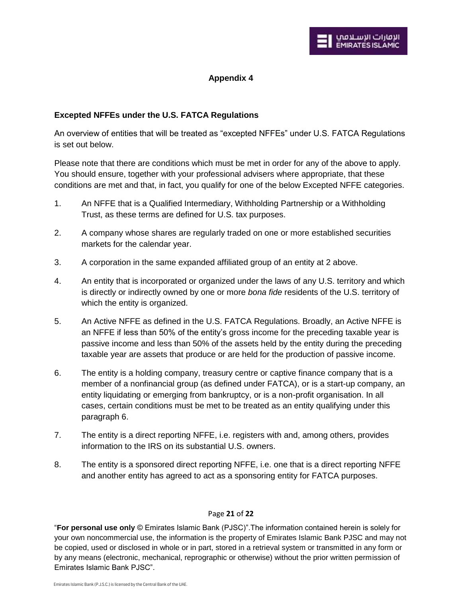# **Appendix 4**

# **Excepted NFFEs under the U.S. FATCA Regulations**

An overview of entities that will be treated as "excepted NFFEs" under U.S. FATCA Regulations is set out below.

Please note that there are conditions which must be met in order for any of the above to apply. You should ensure, together with your professional advisers where appropriate, that these conditions are met and that, in fact, you qualify for one of the below Excepted NFFE categories.

- 1. An NFFE that is a Qualified Intermediary, Withholding Partnership or a Withholding Trust, as these terms are defined for U.S. tax purposes.
- 2. A company whose shares are regularly traded on one or more established securities markets for the calendar year.
- 3. A corporation in the same expanded affiliated group of an entity at 2 above.
- 4. An entity that is incorporated or organized under the laws of any U.S. territory and which is directly or indirectly owned by one or more *bona fide* residents of the U.S. territory of which the entity is organized.
- 5. An Active NFFE as defined in the U.S. FATCA Regulations. Broadly, an Active NFFE is an NFFE if less than 50% of the entity's gross income for the preceding taxable year is passive income and less than 50% of the assets held by the entity during the preceding taxable year are assets that produce or are held for the production of passive income.
- 6. The entity is a holding company, treasury centre or captive finance company that is a member of a nonfinancial group (as defined under FATCA), or is a start-up company, an entity liquidating or emerging from bankruptcy, or is a non-profit organisation. In all cases, certain conditions must be met to be treated as an entity qualifying under this paragraph 6.
- 7. The entity is a direct reporting NFFE, i.e. registers with and, among others, provides information to the IRS on its substantial U.S. owners.
- 8. The entity is a sponsored direct reporting NFFE, i.e. one that is a direct reporting NFFE and another entity has agreed to act as a sponsoring entity for FATCA purposes.

#### Page **21** of **22**